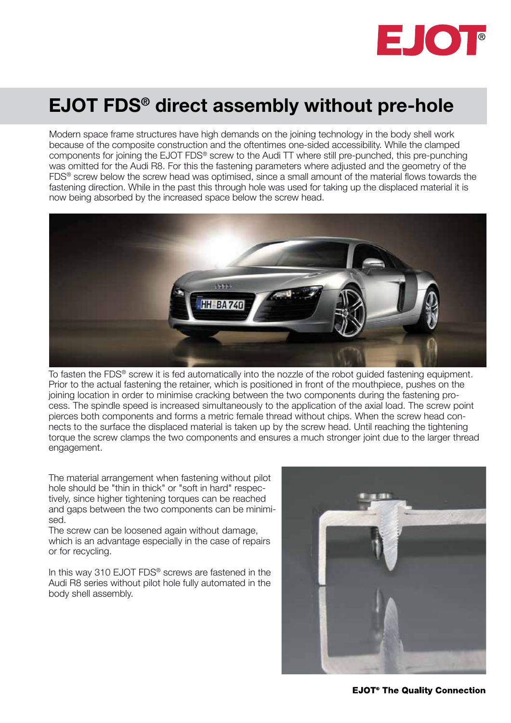

## EJOT FDS® direct assembly without pre-hole

Modern space frame structures have high demands on the joining technology in the body shell work because of the composite construction and the oftentimes one-sided accessibility. While the clamped components for joining the EJOT FDS® screw to the Audi TT where still pre-punched, this pre-punching was omitted for the Audi R8. For this the fastening parameters where adjusted and the geometry of the FDS® screw below the screw head was optimised, since a small amount of the material flows towards the fastening direction. While in the past this through hole was used for taking up the displaced material it is now being absorbed by the increased space below the screw head.



To fasten the FDS® screw it is fed automatically into the nozzle of the robot guided fastening equipment. Prior to the actual fastening the retainer, which is positioned in front of the mouthpiece, pushes on the joining location in order to minimise cracking between the two components during the fastening process. The spindle speed is increased simultaneously to the application of the axial load. The screw point pierces both components and forms a metric female thread without chips. When the screw head connects to the surface the displaced material is taken up by the screw head. Until reaching the tightening torque the screw clamps the two components and ensures a much stronger joint due to the larger thread engagement.

The material arrangement when fastening without pilot hole should be "thin in thick" or "soft in hard" respectively, since higher tightening torques can be reached and gaps between the two components can be minimised.

The screw can be loosened again without damage, which is an advantage especially in the case of repairs or for recycling.

In this way 310 EJOT FDS<sup>®</sup> screws are fastened in the Audi R8 series without pilot hole fully automated in the body shell assembly.



**EJOT<sup>®</sup> The Quality Connection**